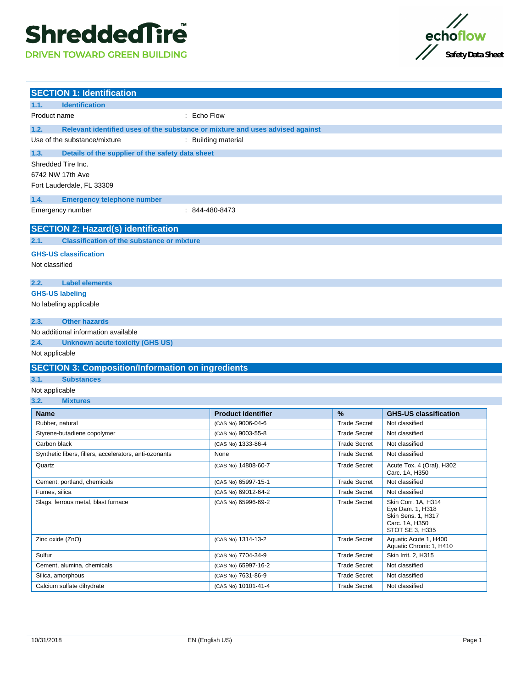# **ShreddedTire**

**DRIVEN TOWARD GREEN BUILDING** 



| <b>SECTION 1: Identification</b>                                                      |                           |                     |                                                                                                    |
|---------------------------------------------------------------------------------------|---------------------------|---------------------|----------------------------------------------------------------------------------------------------|
| 1.1.<br><b>Identification</b>                                                         |                           |                     |                                                                                                    |
| Product name                                                                          | : Echo Flow               |                     |                                                                                                    |
| 1.2.<br>Relevant identified uses of the substance or mixture and uses advised against |                           |                     |                                                                                                    |
| Use of the substance/mixture                                                          | : Building material       |                     |                                                                                                    |
| 1.3.<br>Details of the supplier of the safety data sheet                              |                           |                     |                                                                                                    |
| Shredded Tire Inc.                                                                    |                           |                     |                                                                                                    |
| 6742 NW 17th Ave                                                                      |                           |                     |                                                                                                    |
| Fort Lauderdale, FL 33309                                                             |                           |                     |                                                                                                    |
| 1.4.<br><b>Emergency telephone number</b>                                             |                           |                     |                                                                                                    |
| Emergency number                                                                      | $: 844 - 480 - 8473$      |                     |                                                                                                    |
| <b>SECTION 2: Hazard(s) identification</b>                                            |                           |                     |                                                                                                    |
| <b>Classification of the substance or mixture</b><br>2.1.                             |                           |                     |                                                                                                    |
| <b>GHS-US classification</b>                                                          |                           |                     |                                                                                                    |
| Not classified                                                                        |                           |                     |                                                                                                    |
|                                                                                       |                           |                     |                                                                                                    |
| <b>Label elements</b><br>2.2.                                                         |                           |                     |                                                                                                    |
| <b>GHS-US labeling</b>                                                                |                           |                     |                                                                                                    |
| No labeling applicable                                                                |                           |                     |                                                                                                    |
|                                                                                       |                           |                     |                                                                                                    |
| 2.3.<br><b>Other hazards</b>                                                          |                           |                     |                                                                                                    |
| No additional information available<br>2.4.                                           |                           |                     |                                                                                                    |
| <b>Unknown acute toxicity (GHS US)</b><br>Not applicable                              |                           |                     |                                                                                                    |
|                                                                                       |                           |                     |                                                                                                    |
| <b>SECTION 3: Composition/Information on ingredients</b>                              |                           |                     |                                                                                                    |
| 3.1.<br><b>Substances</b>                                                             |                           |                     |                                                                                                    |
| Not applicable                                                                        |                           |                     |                                                                                                    |
| 3.2.<br><b>Mixtures</b>                                                               |                           |                     |                                                                                                    |
| <b>Name</b>                                                                           | <b>Product identifier</b> | %                   | <b>GHS-US classification</b>                                                                       |
| Rubber, natural                                                                       | (CAS No) 9006-04-6        | <b>Trade Secret</b> | Not classified                                                                                     |
| Styrene-butadiene copolymer                                                           | (CAS No) 9003-55-8        | <b>Trade Secret</b> | Not classified                                                                                     |
| Carbon black                                                                          | (CAS No) 1333-86-4        | <b>Trade Secret</b> | Not classified                                                                                     |
| Synthetic fibers, fillers, accelerators, anti-ozonants                                | None                      | <b>Trade Secret</b> | Not classified                                                                                     |
| Quartz                                                                                | (CAS No) 14808-60-7       | <b>Trade Secret</b> | Acute Tox. 4 (Oral), H302<br>Carc. 1A, H350                                                        |
| Cement, portland, chemicals                                                           | (CAS No) 65997-15-1       | <b>Trade Secret</b> | Not classified                                                                                     |
| Fumes, silica                                                                         | (CAS No) 69012-64-2       | <b>Trade Secret</b> | Not classified                                                                                     |
| Slags, ferrous metal, blast furnace                                                   | (CAS No) 65996-69-2       | <b>Trade Secret</b> | Skin Corr. 1A, H314<br>Eye Dam. 1, H318<br>Skin Sens. 1, H317<br>Carc. 1A, H350<br>STOT SE 3, H335 |
| Zinc oxide (ZnO)                                                                      | (CAS No) 1314-13-2        | <b>Trade Secret</b> | Aquatic Acute 1, H400<br>Aquatic Chronic 1, H410                                                   |
| Sulfur                                                                                | (CAS No) 7704-34-9        | <b>Trade Secret</b> | Skin Irrit. 2, H315                                                                                |
| Cement, alumina, chemicals                                                            | (CAS No) 65997-16-2       | <b>Trade Secret</b> | Not classified                                                                                     |
| Silica, amorphous                                                                     | (CAS No) 7631-86-9        | <b>Trade Secret</b> | Not classified                                                                                     |
| Calcium sulfate dihydrate                                                             | (CAS No) 10101-41-4       |                     |                                                                                                    |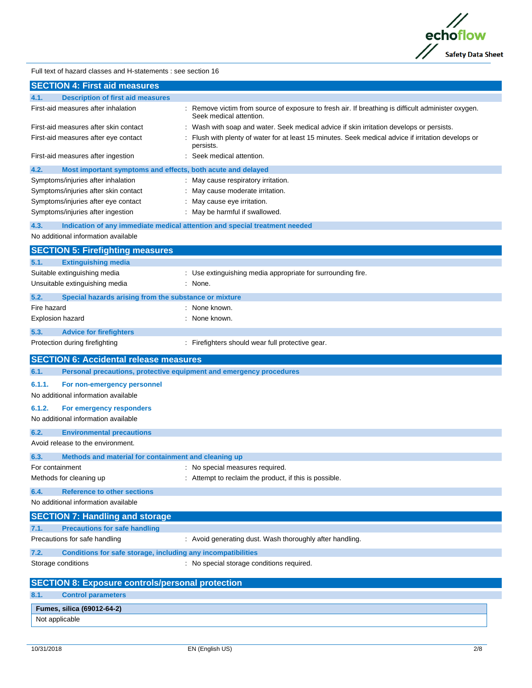

Full text of hazard classes and H-statements : see section 16

| <b>SECTION 4: First aid measures</b>                                               |                                                                                                                               |
|------------------------------------------------------------------------------------|-------------------------------------------------------------------------------------------------------------------------------|
| <b>Description of first aid measures</b><br>4.1.                                   |                                                                                                                               |
| First-aid measures after inhalation                                                | : Remove victim from source of exposure to fresh air. If breathing is difficult administer oxygen.<br>Seek medical attention. |
| First-aid measures after skin contact                                              | : Wash with soap and water. Seek medical advice if skin irritation develops or persists.                                      |
| First-aid measures after eye contact                                               | : Flush with plenty of water for at least 15 minutes. Seek medical advice if irritation develops or<br>persists.              |
| First-aid measures after ingestion                                                 | : Seek medical attention.                                                                                                     |
| 4.2.<br>Most important symptoms and effects, both acute and delayed                |                                                                                                                               |
| Symptoms/injuries after inhalation                                                 | : May cause respiratory irritation.                                                                                           |
| Symptoms/injuries after skin contact                                               | : May cause moderate irritation.                                                                                              |
| Symptoms/injuries after eye contact                                                | : May cause eye irritation.                                                                                                   |
| Symptoms/injuries after ingestion                                                  | : May be harmful if swallowed.                                                                                                |
| 4.3.<br>Indication of any immediate medical attention and special treatment needed |                                                                                                                               |
| No additional information available                                                |                                                                                                                               |
| <b>SECTION 5: Firefighting measures</b>                                            |                                                                                                                               |
| <b>Extinguishing media</b><br>5.1.                                                 |                                                                                                                               |
| Suitable extinguishing media                                                       | : Use extinguishing media appropriate for surrounding fire.                                                                   |
| Unsuitable extinguishing media                                                     | : None.                                                                                                                       |
| 5.2.<br>Special hazards arising from the substance or mixture                      |                                                                                                                               |
| Fire hazard                                                                        | : None known.                                                                                                                 |
| Explosion hazard                                                                   | : None known.                                                                                                                 |
| 5.3.<br><b>Advice for firefighters</b>                                             |                                                                                                                               |
| Protection during firefighting                                                     | : Firefighters should wear full protective gear.                                                                              |
| <b>SECTION 6: Accidental release measures</b>                                      |                                                                                                                               |
| 6.1.<br>Personal precautions, protective equipment and emergency procedures        |                                                                                                                               |
| 6.1.1.<br>For non-emergency personnel                                              |                                                                                                                               |
| No additional information available                                                |                                                                                                                               |
| 6.1.2.<br>For emergency responders                                                 |                                                                                                                               |
| No additional information available                                                |                                                                                                                               |
| 6.2.<br><b>Environmental precautions</b>                                           |                                                                                                                               |
| Avoid release to the environment.                                                  |                                                                                                                               |
| 6.3.<br>Methods and material for containment and cleaning up                       |                                                                                                                               |
| For containment                                                                    | : No special measures required                                                                                                |
| Methods for cleaning up                                                            | : Attempt to reclaim the product, if this is possible.                                                                        |
| 6.4.<br><b>Reference to other sections</b>                                         |                                                                                                                               |
| No additional information available                                                |                                                                                                                               |
| <b>SECTION 7: Handling and storage</b>                                             |                                                                                                                               |
| <b>Precautions for safe handling</b><br>7.1.                                       |                                                                                                                               |
| Precautions for safe handling                                                      | : Avoid generating dust. Wash thoroughly after handling.                                                                      |
| 7.2.<br>Conditions for safe storage, including any incompatibilities               |                                                                                                                               |
| Storage conditions                                                                 | : No special storage conditions required.                                                                                     |
| <b>SECTION 8: Exposure controls/personal protection</b>                            |                                                                                                                               |
| <b>Control parameters</b><br>8.1.                                                  |                                                                                                                               |
| Fumes, silica (69012-64-2)                                                         |                                                                                                                               |
| Not applicable                                                                     |                                                                                                                               |
|                                                                                    |                                                                                                                               |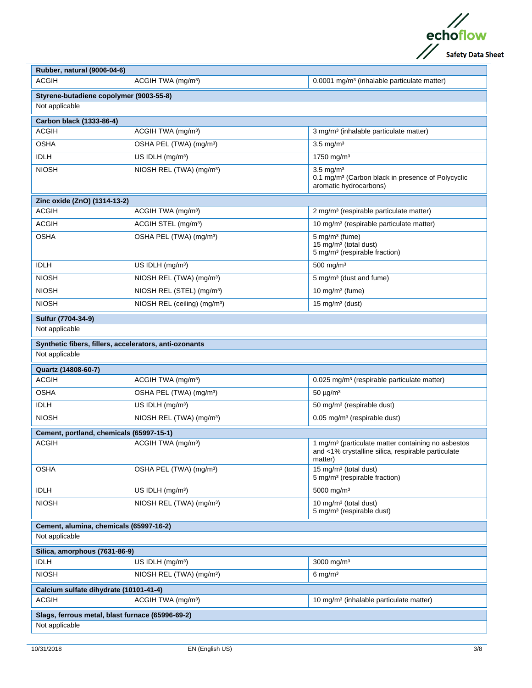

| Rubber, natural (9006-04-6)                            |                                          |                                                                                                                                 |  |
|--------------------------------------------------------|------------------------------------------|---------------------------------------------------------------------------------------------------------------------------------|--|
| <b>ACGIH</b>                                           | ACGIH TWA (mg/m <sup>3</sup> )           | 0.0001 mg/m <sup>3</sup> (inhalable particulate matter)                                                                         |  |
| Styrene-butadiene copolymer (9003-55-8)                |                                          |                                                                                                                                 |  |
| Not applicable                                         |                                          |                                                                                                                                 |  |
| Carbon black (1333-86-4)                               |                                          |                                                                                                                                 |  |
| <b>ACGIH</b>                                           | ACGIH TWA (mg/m <sup>3</sup> )           | 3 mg/m <sup>3</sup> (inhalable particulate matter)                                                                              |  |
| <b>OSHA</b>                                            | OSHA PEL (TWA) (mg/m <sup>3</sup> )      | $3.5 \text{ mg/m}^3$                                                                                                            |  |
| <b>IDLH</b>                                            | US IDLH (mg/m <sup>3</sup> )             | 1750 mg/m <sup>3</sup>                                                                                                          |  |
| <b>NIOSH</b>                                           | NIOSH REL (TWA) (mg/m <sup>3</sup> )     | $3.5 \text{ mg/m}^3$<br>0.1 mg/m <sup>3</sup> (Carbon black in presence of Polycyclic<br>aromatic hydrocarbons)                 |  |
| Zinc oxide (ZnO) (1314-13-2)                           |                                          |                                                                                                                                 |  |
| <b>ACGIH</b>                                           | ACGIH TWA (mg/m <sup>3</sup> )           | 2 mg/m <sup>3</sup> (respirable particulate matter)                                                                             |  |
| <b>ACGIH</b>                                           | ACGIH STEL (mg/m <sup>3</sup> )          | 10 mg/m <sup>3</sup> (respirable particulate matter)                                                                            |  |
| <b>OSHA</b>                                            | OSHA PEL (TWA) (mg/m <sup>3</sup> )      | $5$ mg/m <sup>3</sup> (fume)<br>15 mg/m <sup>3</sup> (total dust)<br>5 mg/m <sup>3</sup> (respirable fraction)                  |  |
| <b>IDLH</b>                                            | US IDLH (mg/m <sup>3</sup> )             | $500$ mg/m <sup>3</sup>                                                                                                         |  |
| <b>NIOSH</b>                                           | NIOSH REL (TWA) (mg/m <sup>3</sup> )     | 5 mg/m <sup>3</sup> (dust and fume)                                                                                             |  |
| <b>NIOSH</b>                                           | NIOSH REL (STEL) (mg/m <sup>3</sup> )    | 10 mg/m $3$ (fume)                                                                                                              |  |
| <b>NIOSH</b>                                           | NIOSH REL (ceiling) (mg/m <sup>3</sup> ) | 15 mg/m $3$ (dust)                                                                                                              |  |
| Sulfur (7704-34-9)                                     |                                          |                                                                                                                                 |  |
| Not applicable                                         |                                          |                                                                                                                                 |  |
| Synthetic fibers, fillers, accelerators, anti-ozonants |                                          |                                                                                                                                 |  |
| Not applicable                                         |                                          |                                                                                                                                 |  |
| Quartz (14808-60-7)                                    |                                          |                                                                                                                                 |  |
| <b>ACGIH</b>                                           | ACGIH TWA (mg/m <sup>3</sup> )           | 0.025 mg/m <sup>3</sup> (respirable particulate matter)                                                                         |  |
| <b>OSHA</b>                                            | OSHA PEL (TWA) (mg/m <sup>3</sup> )      | $50 \mu g/m^3$                                                                                                                  |  |
| <b>IDLH</b>                                            | US IDLH $(mg/m3)$                        | 50 mg/m <sup>3</sup> (respirable dust)                                                                                          |  |
| <b>NIOSH</b>                                           | NIOSH REL (TWA) (mg/m <sup>3</sup> )     | 0.05 mg/m <sup>3</sup> (respirable dust)                                                                                        |  |
| Cement, portland, chemicals (65997-15-1)               |                                          |                                                                                                                                 |  |
| <b>ACGIH</b>                                           | ACGIH TWA (mg/m <sup>3</sup> )           | 1 mg/m <sup>3</sup> (particulate matter containing no asbestos<br>and <1% crystalline silica, respirable particulate<br>matter) |  |
| <b>OSHA</b>                                            | OSHA PEL (TWA) (mg/m <sup>3</sup> )      | 15 mg/m <sup>3</sup> (total dust)<br>5 mg/m <sup>3</sup> (respirable fraction)                                                  |  |
| <b>IDLH</b>                                            | US IDLH (mg/m <sup>3</sup> )             | 5000 mg/m <sup>3</sup>                                                                                                          |  |
| <b>NIOSH</b>                                           | NIOSH REL (TWA) (mg/m <sup>3</sup> )     | 10 mg/m <sup>3</sup> (total dust)<br>5 mg/m <sup>3</sup> (respirable dust)                                                      |  |
| Cement, alumina, chemicals (65997-16-2)                |                                          |                                                                                                                                 |  |
| Not applicable                                         |                                          |                                                                                                                                 |  |
| Silica, amorphous (7631-86-9)                          |                                          |                                                                                                                                 |  |
| <b>IDLH</b>                                            | US IDLH (mg/m <sup>3</sup> )             | 3000 mg/m <sup>3</sup>                                                                                                          |  |
| <b>NIOSH</b>                                           | NIOSH REL (TWA) (mg/m <sup>3</sup> )     | $6 \text{ mg/m}^3$                                                                                                              |  |
| Calcium sulfate dihydrate (10101-41-4)                 |                                          |                                                                                                                                 |  |
| <b>ACGIH</b>                                           | ACGIH TWA (mg/m <sup>3</sup> )           | 10 mg/m <sup>3</sup> (inhalable particulate matter)                                                                             |  |
| Slags, ferrous metal, blast furnace (65996-69-2)       |                                          |                                                                                                                                 |  |
| Not applicable                                         |                                          |                                                                                                                                 |  |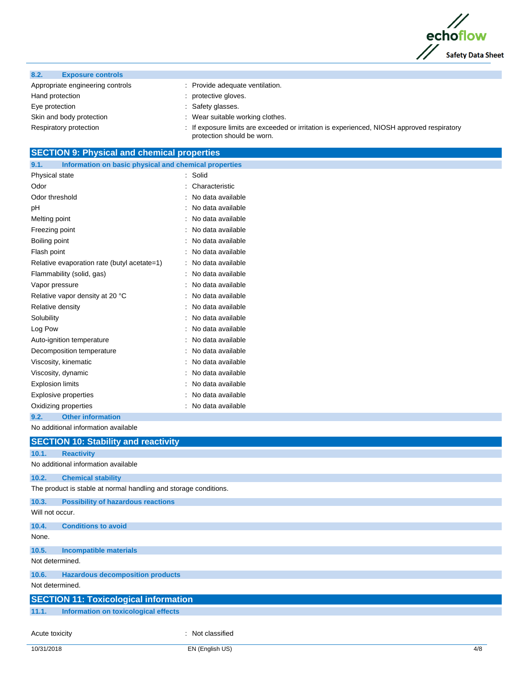

- Appropriate engineering controls : Provide adequate ventilation. Hand protection **in the contract of the contract of the contract of the contract of the contract of the contract of the contract of the contract of the contract of the contract of the contract of the contract of the contra** Eye protection **in the same of the set of the Safety glasses.** Skin and body protection **in the suitable working clothes**.
	-
	-
	-
	-
- Respiratory protection : If exposure limits are exceeded or irritation is experienced, NIOSH approved respiratory protection should be worn.

### **SECTION 9: Physical and chemical properties**

| 9.1.<br>Information on basic physical and chemical properties |                   |
|---------------------------------------------------------------|-------------------|
| Physical state                                                | Solid<br>÷.       |
| Odor                                                          | Characteristic    |
| Odor threshold                                                | No data available |
| рH                                                            | No data available |
| Melting point                                                 | No data available |
| Freezing point                                                | No data available |
| Boiling point                                                 | No data available |
| Flash point                                                   | No data available |
| Relative evaporation rate (butyl acetate=1)                   | No data available |
| Flammability (solid, gas)                                     | No data available |
| Vapor pressure                                                | No data available |
| Relative vapor density at 20 °C                               | No data available |
| Relative density                                              | No data available |
| Solubility                                                    | No data available |
| Log Pow                                                       | No data available |
| Auto-ignition temperature                                     | No data available |
| Decomposition temperature                                     | No data available |
| Viscosity, kinematic                                          | No data available |
| Viscosity, dynamic                                            | No data available |
| <b>Explosion limits</b>                                       | No data available |
| <b>Explosive properties</b>                                   | No data available |
| Oxidizing properties                                          | No data available |
| <b>Other information</b><br>9.2.                              |                   |

#### No additional information available

|                 | <b>SECTION 10: Stability and reactivity</b>                      |
|-----------------|------------------------------------------------------------------|
| 10.1.           | <b>Reactivity</b>                                                |
|                 | No additional information available                              |
| 10.2.           | <b>Chemical stability</b>                                        |
|                 | The product is stable at normal handling and storage conditions. |
| 10.3.           | <b>Possibility of hazardous reactions</b>                        |
| Will not occur. |                                                                  |
| 10.4.           | <b>Conditions to avoid</b>                                       |
| None.           |                                                                  |
| 10.5.           | <b>Incompatible materials</b>                                    |
| Not determined. |                                                                  |
| 10.6.           | <b>Hazardous decomposition products</b>                          |
| Not determined. |                                                                  |
|                 | <b>SECTION 11: Toxicological information</b>                     |
| 11.1.           | Information on toxicological effects                             |
|                 |                                                                  |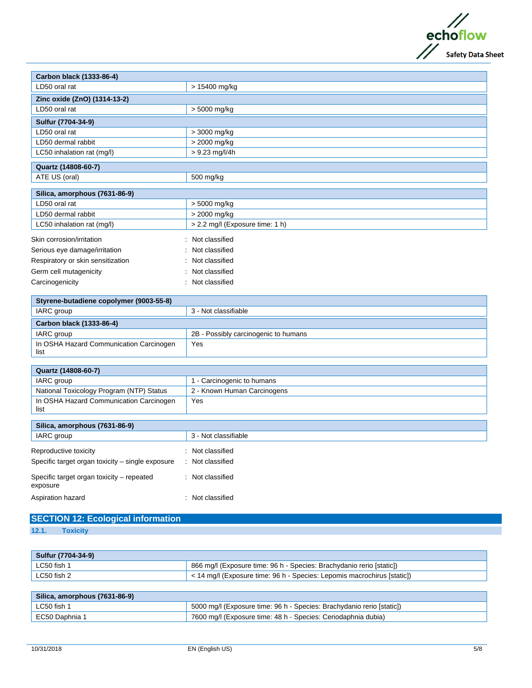

| Carbon black (1333-86-4)          |                                 |  |
|-----------------------------------|---------------------------------|--|
| LD50 oral rat                     | > 15400 mg/kg                   |  |
| Zinc oxide (ZnO) (1314-13-2)      |                                 |  |
| LD50 oral rat                     | > 5000 mg/kg                    |  |
| Sulfur (7704-34-9)                |                                 |  |
| LD50 oral rat                     | $>$ 3000 mg/kg                  |  |
| LD50 dermal rabbit                | > 2000 mg/kg                    |  |
| LC50 inhalation rat (mg/l)        | $> 9.23$ mg/l/4h                |  |
| Quartz (14808-60-7)               |                                 |  |
| ATE US (oral)                     | 500 mg/kg                       |  |
|                                   |                                 |  |
| Silica, amorphous (7631-86-9)     |                                 |  |
| LD50 oral rat                     | > 5000 mg/kg                    |  |
| LD50 dermal rabbit                | > 2000 mg/kg                    |  |
| LC50 inhalation rat (mg/l)        | > 2.2 mg/l (Exposure time: 1 h) |  |
| Skin corrosion/irritation         | : Not classified                |  |
| Serious eye damage/irritation     | : Not classified                |  |
| Respiratory or skin sensitization | Not classified                  |  |
| Germ cell mutagenicity            | Not classified                  |  |
| Carcinogenicity                   | Not classified                  |  |

| Styrene-butadiene copolymer (9003-55-8)         |                                      |  |
|-------------------------------------------------|--------------------------------------|--|
| IARC group                                      | 3 - Not classifiable                 |  |
| Carbon black (1333-86-4)                        |                                      |  |
| IARC group                                      | 2B - Possibly carcinogenic to humans |  |
| In OSHA Hazard Communication Carcinogen<br>list | Yes                                  |  |

| Quartz (14808-60-7)                             |                             |
|-------------------------------------------------|-----------------------------|
| IARC group                                      | 1 - Carcinogenic to humans  |
| National Toxicology Program (NTP) Status        | 2 - Known Human Carcinogens |
| In OSHA Hazard Communication Carcinogen<br>list | Yes                         |

| Silica, amorphous (7631-86-9)                                             |                                                  |  |
|---------------------------------------------------------------------------|--------------------------------------------------|--|
| IARC group                                                                | 3 - Not classifiable                             |  |
| Reproductive toxicity<br>Specific target organ toxicity - single exposure | Not classified<br>$\cdot$<br>Not classified<br>÷ |  |
| Specific target organ toxicity – repeated<br>exposure                     | Not classified                                   |  |
| Aspiration hazard                                                         | Not classified                                   |  |

## **SECTION 12: Ecological information**

**12.1. Toxicity**

| Sulfur (7704-34-9) |                                                                              |
|--------------------|------------------------------------------------------------------------------|
| LC50 fish 1        | 866 mg/l (Exposure time: 96 h - Species: Brachydanio rerio [static])         |
| LC50 fish 2        | $\sim$ 14 mg/l (Exposure time: 96 h - Species: Lepomis macrochirus [static]) |
|                    |                                                                              |

| $\sim$ Silica, amorphous (7631-86-9) |                                                                       |
|--------------------------------------|-----------------------------------------------------------------------|
| LC50 fish 1                          | 5000 mg/l (Exposure time: 96 h - Species: Brachydanio rerio [static]) |
| EC50 Daphnia 1                       | 7600 mg/l (Exposure time: 48 h - Species: Ceriodaphnia dubia)         |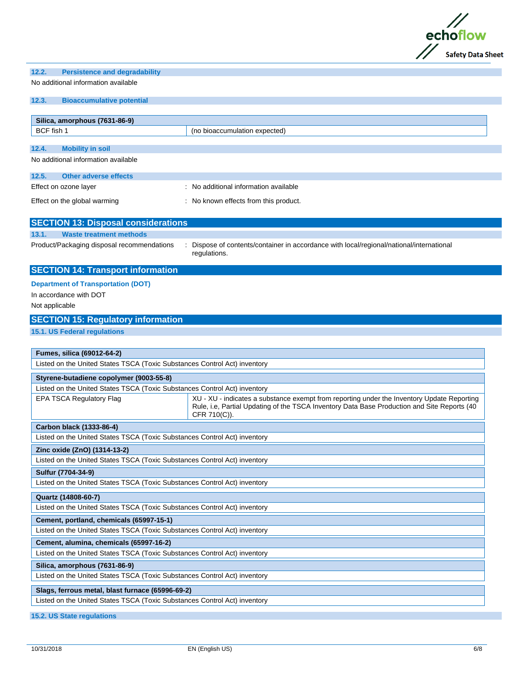

| No additional information available                                                                                  |                                                                                                                                                                                                                                                      |  |
|----------------------------------------------------------------------------------------------------------------------|------------------------------------------------------------------------------------------------------------------------------------------------------------------------------------------------------------------------------------------------------|--|
| 12.3.<br><b>Bioaccumulative potential</b>                                                                            |                                                                                                                                                                                                                                                      |  |
| Silica, amorphous (7631-86-9)                                                                                        |                                                                                                                                                                                                                                                      |  |
| BCF fish 1                                                                                                           | (no bioaccumulation expected)                                                                                                                                                                                                                        |  |
| <b>Mobility in soil</b><br>12.4.                                                                                     |                                                                                                                                                                                                                                                      |  |
| No additional information available                                                                                  |                                                                                                                                                                                                                                                      |  |
| <b>Other adverse effects</b><br>12.5.                                                                                |                                                                                                                                                                                                                                                      |  |
| Effect on ozone layer                                                                                                | : No additional information available                                                                                                                                                                                                                |  |
| Effect on the global warming                                                                                         | : No known effects from this product.                                                                                                                                                                                                                |  |
| <b>SECTION 13: Disposal considerations</b>                                                                           |                                                                                                                                                                                                                                                      |  |
| <b>Waste treatment methods</b><br>13.1.                                                                              |                                                                                                                                                                                                                                                      |  |
| Product/Packaging disposal recommendations                                                                           | Dispose of contents/container in accordance with local/regional/national/international<br>regulations.                                                                                                                                               |  |
| <b>SECTION 14: Transport information</b>                                                                             |                                                                                                                                                                                                                                                      |  |
| <b>Department of Transportation (DOT)</b><br>In accordance with DOT<br>Not applicable                                |                                                                                                                                                                                                                                                      |  |
| <b>SECTION 15: Regulatory information</b>                                                                            |                                                                                                                                                                                                                                                      |  |
| 15.1. US Federal regulations                                                                                         |                                                                                                                                                                                                                                                      |  |
| Fumes, silica (69012-64-2)<br>Styrene-butadiene copolymer (9003-55-8)<br><b>EPA TSCA Regulatory Flag</b>             | Listed on the United States TSCA (Toxic Substances Control Act) inventory<br>Listed on the United States TSCA (Toxic Substances Control Act) inventory<br>XU - XU - indicates a substance exempt from reporting under the Inventory Update Reporting |  |
|                                                                                                                      | Rule, i.e, Partial Updating of the TSCA Inventory Data Base Production and Site Reports (40<br>CFR 710(C)).                                                                                                                                          |  |
| Carbon black (1333-86-4)                                                                                             |                                                                                                                                                                                                                                                      |  |
|                                                                                                                      | Listed on the United States TSCA (Toxic Substances Control Act) inventory                                                                                                                                                                            |  |
| Zinc oxide (ZnO) (1314-13-2)                                                                                         |                                                                                                                                                                                                                                                      |  |
| Listed on the United States TSCA (Toxic Substances Control Act) inventory                                            |                                                                                                                                                                                                                                                      |  |
| Sulfur (7704-34-9)                                                                                                   |                                                                                                                                                                                                                                                      |  |
|                                                                                                                      | Listed on the United States TSCA (Toxic Substances Control Act) inventory                                                                                                                                                                            |  |
| Quartz (14808-60-7)                                                                                                  |                                                                                                                                                                                                                                                      |  |
| Listed on the United States TSCA (Toxic Substances Control Act) inventory                                            |                                                                                                                                                                                                                                                      |  |
| Cement, portland, chemicals (65997-15-1)                                                                             |                                                                                                                                                                                                                                                      |  |
| Listed on the United States TSCA (Toxic Substances Control Act) inventory                                            |                                                                                                                                                                                                                                                      |  |
| Cement, alumina, chemicals (65997-16-2)<br>Listed on the United States TSCA (Toxic Substances Control Act) inventory |                                                                                                                                                                                                                                                      |  |
|                                                                                                                      |                                                                                                                                                                                                                                                      |  |
| Silica, amorphous (7631-86-9)                                                                                        | Listed on the United States TSCA (Toxic Substances Control Act) inventory                                                                                                                                                                            |  |
|                                                                                                                      |                                                                                                                                                                                                                                                      |  |
| Slags, ferrous metal, blast furnace (65996-69-2)                                                                     | Listed on the United States TSCA (Toxic Substances Control Act) inventory                                                                                                                                                                            |  |
|                                                                                                                      |                                                                                                                                                                                                                                                      |  |

**12.2. Persistence and degradability**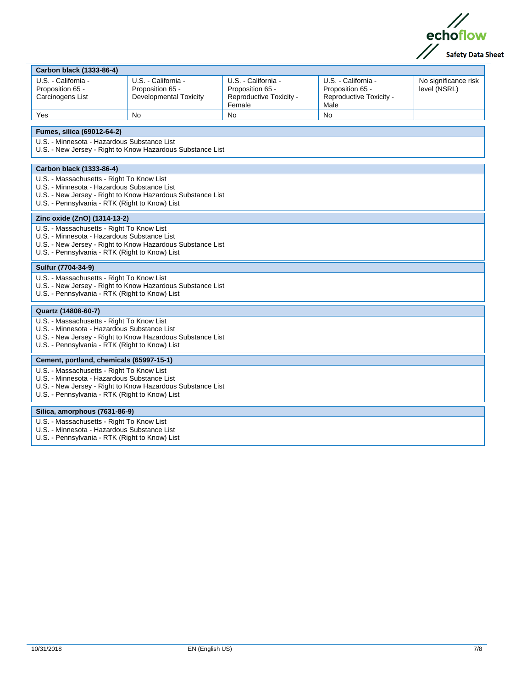

| Carbon black (1333-86-4)                                                                                                                                                                                 |                                                                          |                                                                              |                                                                            |                                      |
|----------------------------------------------------------------------------------------------------------------------------------------------------------------------------------------------------------|--------------------------------------------------------------------------|------------------------------------------------------------------------------|----------------------------------------------------------------------------|--------------------------------------|
| U.S. - California -<br>Proposition 65 -<br>Carcinogens List                                                                                                                                              | U.S. - California -<br>Proposition 65 -<br><b>Developmental Toxicity</b> | U.S. - California -<br>Proposition 65 -<br>Reproductive Toxicity -<br>Female | U.S. - California -<br>Proposition 65 -<br>Reproductive Toxicity -<br>Male | No significance risk<br>level (NSRL) |
| Yes                                                                                                                                                                                                      | No                                                                       | <b>No</b>                                                                    | <b>No</b>                                                                  |                                      |
| Fumes, silica (69012-64-2)                                                                                                                                                                               |                                                                          |                                                                              |                                                                            |                                      |
| U.S. - Minnesota - Hazardous Substance List                                                                                                                                                              | U.S. - New Jersey - Right to Know Hazardous Substance List               |                                                                              |                                                                            |                                      |
| Carbon black (1333-86-4)                                                                                                                                                                                 |                                                                          |                                                                              |                                                                            |                                      |
| U.S. - Massachusetts - Right To Know List<br>U.S. - Minnesota - Hazardous Substance List<br>U.S. - Pennsylvania - RTK (Right to Know) List                                                               | U.S. - New Jersey - Right to Know Hazardous Substance List               |                                                                              |                                                                            |                                      |
| Zinc oxide (ZnO) (1314-13-2)                                                                                                                                                                             |                                                                          |                                                                              |                                                                            |                                      |
| U.S. - Massachusetts - Right To Know List<br>U.S. - Minnesota - Hazardous Substance List<br>U.S. - New Jersey - Right to Know Hazardous Substance List<br>U.S. - Pennsylvania - RTK (Right to Know) List |                                                                          |                                                                              |                                                                            |                                      |
| Sulfur (7704-34-9)                                                                                                                                                                                       |                                                                          |                                                                              |                                                                            |                                      |
| U.S. - Massachusetts - Right To Know List<br>U.S. - New Jersey - Right to Know Hazardous Substance List<br>U.S. - Pennsylvania - RTK (Right to Know) List                                                |                                                                          |                                                                              |                                                                            |                                      |
| Quartz (14808-60-7)                                                                                                                                                                                      |                                                                          |                                                                              |                                                                            |                                      |
| U.S. - Massachusetts - Right To Know List<br>U.S. - Minnesota - Hazardous Substance List<br>U.S. - New Jersey - Right to Know Hazardous Substance List<br>U.S. - Pennsylvania - RTK (Right to Know) List |                                                                          |                                                                              |                                                                            |                                      |
| Cement, portland, chemicals (65997-15-1)                                                                                                                                                                 |                                                                          |                                                                              |                                                                            |                                      |
| U.S. - Massachusetts - Right To Know List<br>U.S. - Minnesota - Hazardous Substance List<br>U.S. - New Jersey - Right to Know Hazardous Substance List<br>U.S. - Pennsylvania - RTK (Right to Know) List |                                                                          |                                                                              |                                                                            |                                      |
| Silica, amorphous (7631-86-9)                                                                                                                                                                            |                                                                          |                                                                              |                                                                            |                                      |
| U.S. - Massachusetts - Right To Know List<br>U.S. - Minnesota - Hazardous Substance List<br>U.S. - Pennsylvania - RTK (Right to Know) List                                                               |                                                                          |                                                                              |                                                                            |                                      |